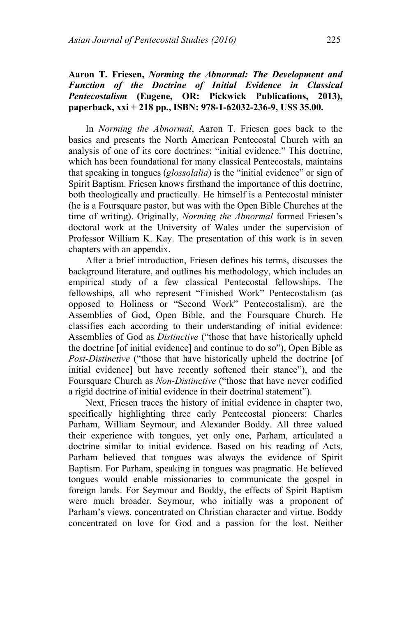## **Aaron T. Friesen,** *Norming the Abnormal: The Development and Function of the Doctrine of Initial Evidence in Classical Pentecostalism* **(Eugene, OR: Pickwick Publications, 2013), paperback, xxi + 218 pp., ISBN: 978-1-62032-236-9, US\$ 35.00.**

In *Norming the Abnormal*, Aaron T. Friesen goes back to the basics and presents the North American Pentecostal Church with an analysis of one of its core doctrines: "initial evidence." This doctrine, which has been foundational for many classical Pentecostals, maintains that speaking in tongues (*glossolalia*) is the "initial evidence" or sign of Spirit Baptism. Friesen knows firsthand the importance of this doctrine, both theologically and practically. He himself is a Pentecostal minister (he is a Foursquare pastor, but was with the Open Bible Churches at the time of writing). Originally, *Norming the Abnormal* formed Friesen's doctoral work at the University of Wales under the supervision of Professor William K. Kay. The presentation of this work is in seven chapters with an appendix.

After a brief introduction, Friesen defines his terms, discusses the background literature, and outlines his methodology, which includes an empirical study of a few classical Pentecostal fellowships. The fellowships, all who represent "Finished Work" Pentecostalism (as opposed to Holiness or "Second Work" Pentecostalism), are the Assemblies of God, Open Bible, and the Foursquare Church. He classifies each according to their understanding of initial evidence: Assemblies of God as *Distinctive* ("those that have historically upheld the doctrine [of initial evidence] and continue to do so"), Open Bible as *Post-Distinctive* ("those that have historically upheld the doctrine [of initial evidence] but have recently softened their stance"), and the Foursquare Church as *Non-Distinctive* ("those that have never codified a rigid doctrine of initial evidence in their doctrinal statement").

Next, Friesen traces the history of initial evidence in chapter two, specifically highlighting three early Pentecostal pioneers: Charles Parham, William Seymour, and Alexander Boddy. All three valued their experience with tongues, yet only one, Parham, articulated a doctrine similar to initial evidence. Based on his reading of Acts, Parham believed that tongues was always the evidence of Spirit Baptism. For Parham, speaking in tongues was pragmatic. He believed tongues would enable missionaries to communicate the gospel in foreign lands. For Seymour and Boddy, the effects of Spirit Baptism were much broader. Seymour, who initially was a proponent of Parham's views, concentrated on Christian character and virtue. Boddy concentrated on love for God and a passion for the lost. Neither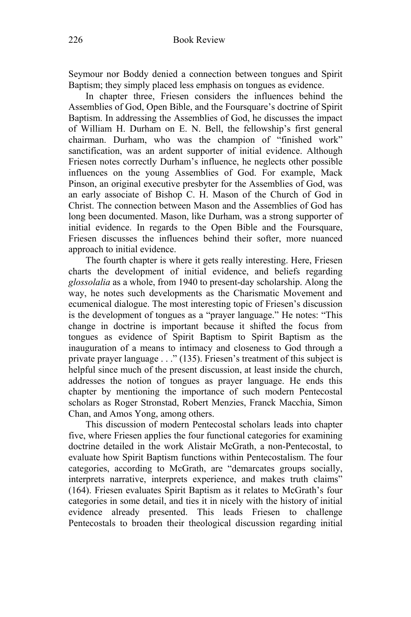Seymour nor Boddy denied a connection between tongues and Spirit Baptism; they simply placed less emphasis on tongues as evidence.

In chapter three, Friesen considers the influences behind the Assemblies of God, Open Bible, and the Foursquare's doctrine of Spirit Baptism. In addressing the Assemblies of God, he discusses the impact of William H. Durham on E. N. Bell, the fellowship's first general chairman. Durham, who was the champion of "finished work" sanctification, was an ardent supporter of initial evidence. Although Friesen notes correctly Durham's influence, he neglects other possible influences on the young Assemblies of God. For example, Mack Pinson, an original executive presbyter for the Assemblies of God, was an early associate of Bishop C. H. Mason of the Church of God in Christ. The connection between Mason and the Assemblies of God has long been documented. Mason, like Durham, was a strong supporter of initial evidence. In regards to the Open Bible and the Foursquare, Friesen discusses the influences behind their softer, more nuanced approach to initial evidence.

The fourth chapter is where it gets really interesting. Here, Friesen charts the development of initial evidence, and beliefs regarding *glossolalia* as a whole, from 1940 to present-day scholarship. Along the way, he notes such developments as the Charismatic Movement and ecumenical dialogue. The most interesting topic of Friesen's discussion is the development of tongues as a "prayer language." He notes: "This change in doctrine is important because it shifted the focus from tongues as evidence of Spirit Baptism to Spirit Baptism as the inauguration of a means to intimacy and closeness to God through a private prayer language . . ." (135). Friesen's treatment of this subject is helpful since much of the present discussion, at least inside the church, addresses the notion of tongues as prayer language. He ends this chapter by mentioning the importance of such modern Pentecostal scholars as Roger Stronstad, Robert Menzies, Franck Macchia, Simon Chan, and Amos Yong, among others.

This discussion of modern Pentecostal scholars leads into chapter five, where Friesen applies the four functional categories for examining doctrine detailed in the work Alistair McGrath, a non-Pentecostal, to evaluate how Spirit Baptism functions within Pentecostalism. The four categories, according to McGrath, are "demarcates groups socially, interprets narrative, interprets experience, and makes truth claims" (164). Friesen evaluates Spirit Baptism as it relates to McGrath's four categories in some detail, and ties it in nicely with the history of initial evidence already presented. This leads Friesen to challenge Pentecostals to broaden their theological discussion regarding initial